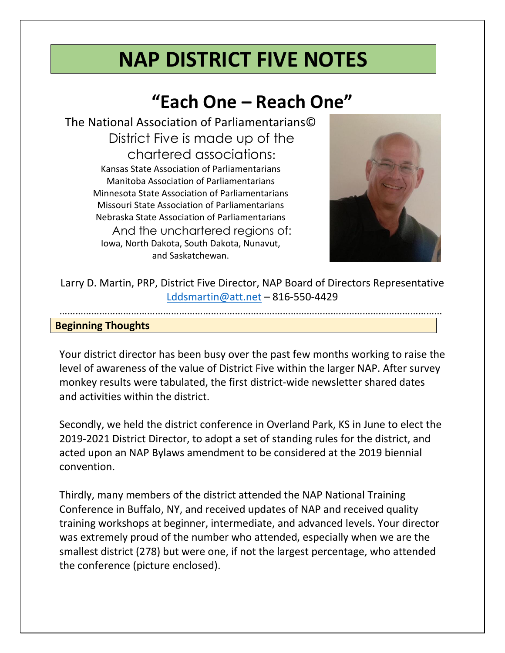# NAP DISTRICT FIVE NOTES

# "Each One – Reach One"

The National Association of Parliamentarians© District Five is made up of the chartered associations: Kansas State Association of Parliamentarians Manitoba Association of Parliamentarians Minnesota State Association of Parliamentarians Missouri State Association of Parliamentarians Nebraska State Association of Parliamentarians And the unchartered regions of: Iowa, North Dakota, South Dakota, Nunavut, and Saskatchewan.



Larry D. Martin, PRP, District Five Director, NAP Board of Directors Representative [Lddsmartin@att.net](mailto:Lddsmartin@att.net) – 816-550-4429

………………………………………………………………………………………………………………………………

#### Beginning Thoughts

Your district director has been busy over the past few months working to raise the level of awareness of the value of District Five within the larger NAP. After survey monkey results were tabulated, the first district-wide newsletter shared dates and activities within the district.

Secondly, we held the district conference in Overland Park, KS in June to elect the 2019-2021 District Director, to adopt a set of standing rules for the district, and acted upon an NAP Bylaws amendment to be considered at the 2019 biennial convention.

Thirdly, many members of the district attended the NAP National Training Conference in Buffalo, NY, and received updates of NAP and received quality training workshops at beginner, intermediate, and advanced levels. Your director was extremely proud of the number who attended, especially when we are the smallest district (278) but were one, if not the largest percentage, who attended the conference (picture enclosed).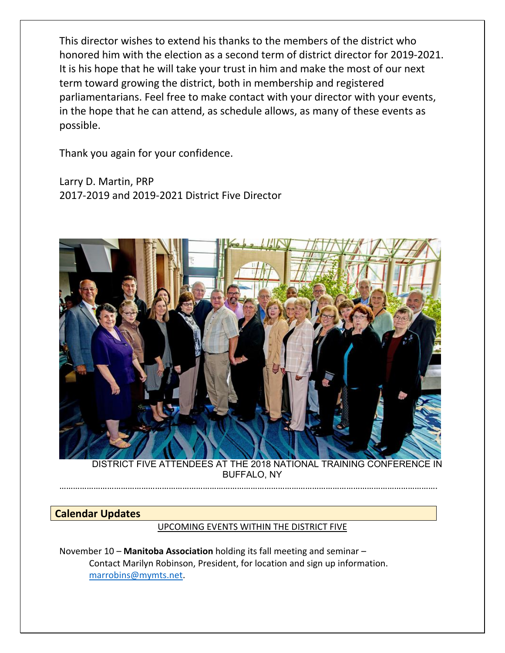This director wishes to extend his thanks to the members of the district who honored him with the election as a second term of district director for 2019-2021. It is his hope that he will take your trust in him and make the most of our next term toward growing the district, both in membership and registered parliamentarians. Feel free to make contact with your director with your events, in the hope that he can attend, as schedule allows, as many of these events as possible.

Thank you again for your confidence.

Larry D. Martin, PRP 2017-2019 and 2019-2021 District Five Director



DISTRICT FIVE ATTENDEES AT THE 2018 NATIONAL TRAINING CONFERENCE IN BUFFALO, NY

………………………………………………………………………………………………………………………………………………….

# Calendar Updates

#### UPCOMING EVENTS WITHIN THE DISTRICT FIVE

November 10 – Manitoba Association holding its fall meeting and seminar – Contact Marilyn Robinson, President, for location and sign up information. [marrobins@mymts.net.](mailto:marrobins@mymts.net)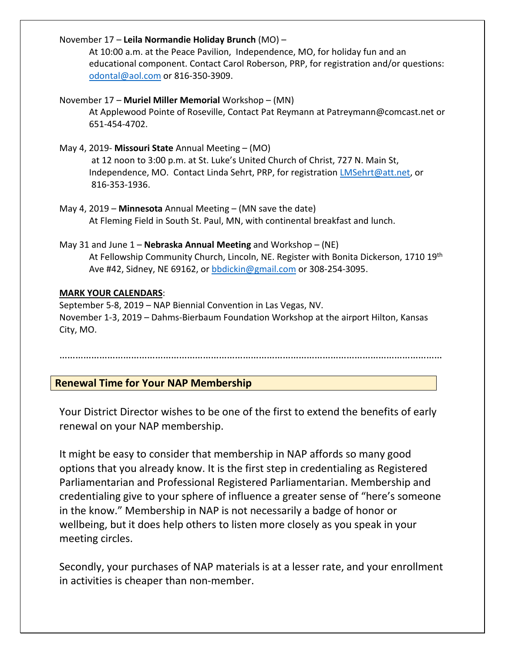#### November 17 – Leila Normandie Holiday Brunch (MO) –

At 10:00 a.m. at the Peace Pavilion, Independence, MO, for holiday fun and an educational component. Contact Carol Roberson, PRP, for registration and/or questions: [odontal@aol.com](mailto:odontal@aol.com) or 816-350-3909.

#### November 17 – Muriel Miller Memorial Workshop – (MN)

At Applewood Pointe of Roseville, Contact Pat Reymann at Patreymann@comcast.net or 651-454-4702.

#### May 4, 2019- Missouri State Annual Meeting – (MO)

at 12 noon to 3:00 p.m. at St. Luke's United Church of Christ, 727 N. Main St, Independence, MO. Contact Linda Sehrt, PRP, for registration *LMSehrt@att.net*, or 816-353-1936.

#### May 4, 2019 – Minnesota Annual Meeting – (MN save the date) At Fleming Field in South St. Paul, MN, with continental breakfast and lunch.

### May 31 and June  $1$  – Nebraska Annual Meeting and Workshop – (NE) At Fellowship Community Church, Lincoln, NE. Register with Bonita Dickerson, 1710 19<sup>th</sup> Ave #42, Sidney, NE 69162, or [bbdickin@gmail.com](mailto:bbdickin@gmail.com) or 308-254-3095.

#### MARK YOUR CALENDARS:

September 5-8, 2019 – NAP Biennial Convention in Las Vegas, NV. November 1-3, 2019 – Dahms-Bierbaum Foundation Workshop at the airport Hilton, Kansas City, MO.

# ………………………………………………………………………………………………………………………………

# Renewal Time for Your NAP Membership

Your District Director wishes to be one of the first to extend the benefits of early renewal on your NAP membership.

It might be easy to consider that membership in NAP affords so many good options that you already know. It is the first step in credentialing as Registered Parliamentarian and Professional Registered Parliamentarian. Membership and credentialing give to your sphere of influence a greater sense of "here's someone in the know." Membership in NAP is not necessarily a badge of honor or wellbeing, but it does help others to listen more closely as you speak in your meeting circles.

Secondly, your purchases of NAP materials is at a lesser rate, and your enrollment in activities is cheaper than non-member.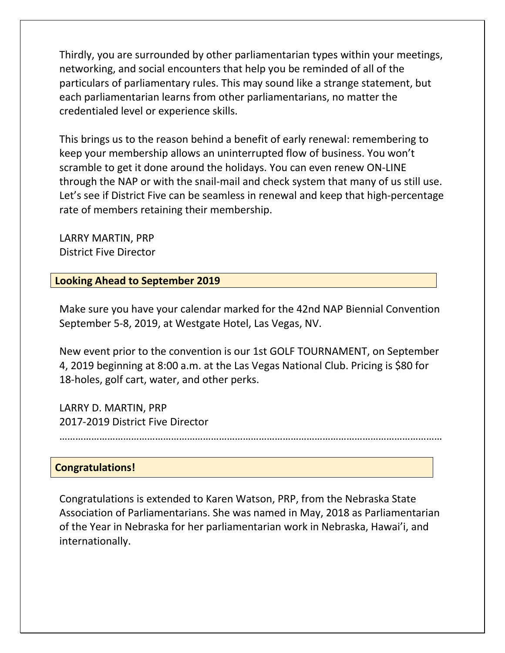Thirdly, you are surrounded by other parliamentarian types within your meetings, networking, and social encounters that help you be reminded of all of the particulars of parliamentary rules. This may sound like a strange statement, but each parliamentarian learns from other parliamentarians, no matter the credentialed level or experience skills.

This brings us to the reason behind a benefit of early renewal: remembering to keep your membership allows an uninterrupted flow of business. You won't scramble to get it done around the holidays. You can even renew ON-LINE through the NAP or with the snail-mail and check system that many of us still use. Let's see if District Five can be seamless in renewal and keep that high-percentage rate of members retaining their membership.

LARRY MARTIN, PRP District Five Director

# Looking Ahead to September 2019

Make sure you have your calendar marked for the 42nd NAP Biennial Convention September 5-8, 2019, at Westgate Hotel, Las Vegas, NV.

New event prior to the convention is our 1st GOLF TOURNAMENT, on September 4, 2019 beginning at 8:00 a.m. at the Las Vegas National Club. Pricing is \$80 for 18-holes, golf cart, water, and other perks.

LARRY D. MARTIN, PRP 2017-2019 District Five Director

………………………………………………………………………………………………………………………………

# Congratulations!

Congratulations is extended to Karen Watson, PRP, from the Nebraska State Association of Parliamentarians. She was named in May, 2018 as Parliamentarian of the Year in Nebraska for her parliamentarian work in Nebraska, Hawai'i, and internationally.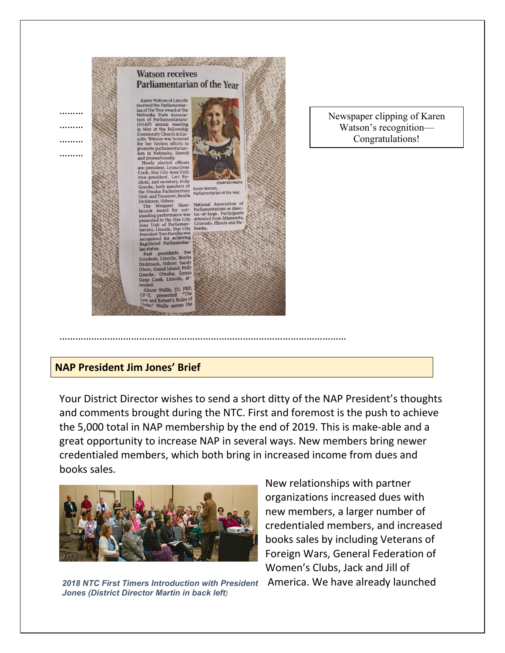

………………………………………………………………………………………………

#### Newspaper clipping of Karen Watson's recognition— Congratulations!

# NAP President Jim Jones' Brief

Your District Director wishes to send a short ditty of the NAP President's thoughts and comments brought during the NTC. First and foremost is the push to achieve the 5,000 total in NAP membership by the end of 2019. This is make-able and a great opportunity to increase NAP in several ways. New members bring newer credentialed members, which both bring in increased income from dues and books sales.



*2018 NTC First Timers Introduction with President* America. We have already launched *Jones (District Director Martin in back left)*

New relationships with partner organizations increased dues with new members, a larger number of credentialed members, and increased books sales by including Veterans of Foreign Wars, General Federation of Women's Clubs, Jack and Jill of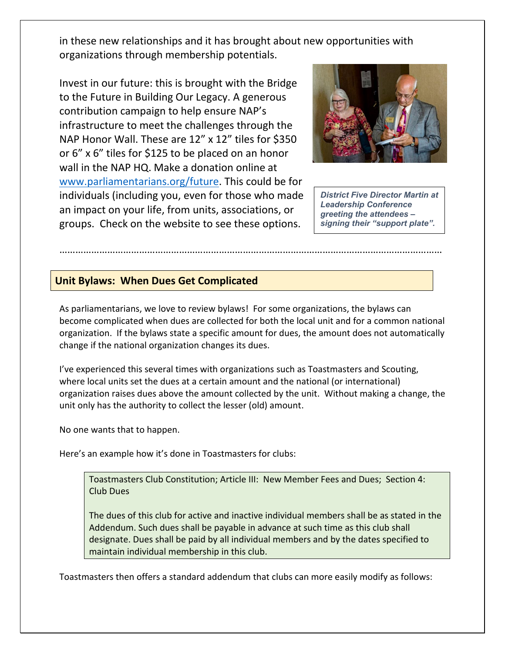in these new relationships and it has brought about new opportunities with organizations through membership potentials.

Invest in our future: this is brought with the Bridge to the Future in Building Our Legacy. A generous contribution campaign to help ensure NAP's infrastructure to meet the challenges through the NAP Honor Wall. These are 12" x 12" tiles for \$350 or 6" x 6" tiles for \$125 to be placed on an honor wall in the NAP HQ. Make a donation online at [www.parliamentarians.org/future. This cou](http://www.parliamentarians.org/future)ld be for individuals (including you, even for those who made an impact on your life, from units, associations, or groups. Check on the website to see these options.



*District Five Director Martin at Leadership Conference greeting the attendees – signing their "support plate".*

# Unit Bylaws: When Dues Get Complicated

As parliamentarians, we love to review bylaws! For some organizations, the bylaws can become complicated when dues are collected for both the local unit and for a common national organization. If the bylaws state a specific amount for dues, the amount does not automatically change if the national organization changes its dues.

………………………………………………………………………………………………………………………………

I've experienced this several times with organizations such as Toastmasters and Scouting, where local units set the dues at a certain amount and the national (or international) organization raises dues above the amount collected by the unit. Without making a change, the unit only has the authority to collect the lesser (old) amount.

No one wants that to happen.

Here's an example how it's done in Toastmasters for clubs:

Toastmasters Club Constitution; Article III: New Member Fees and Dues; Section 4: Club Dues

The dues of this club for active and inactive individual members shall be as stated in the Addendum. Such dues shall be payable in advance at such time as this club shall designate. Dues shall be paid by all individual members and by the dates specified to maintain individual membership in this club.

Toastmasters then offers a standard addendum that clubs can more easily modify as follows: